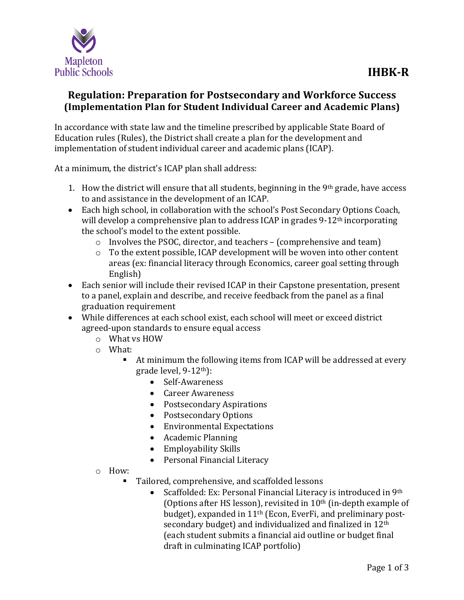

## **Regulation: Preparation for Postsecondary and Workforce Success (Implementation Plan for Student Individual Career and Academic Plans)**

In accordance with state law and the timeline prescribed by applicable State Board of Education rules (Rules), the District shall create a plan for the development and implementation of student individual career and academic plans (ICAP).

At a minimum, the district's ICAP plan shall address:

- 1. How the district will ensure that all students, beginning in the 9th grade, have access to and assistance in the development of an ICAP.
- Each high school, in collaboration with the school's Post Secondary Options Coach, will develop a comprehensive plan to address ICAP in grades 9-12<sup>th</sup> incorporating the school's model to the extent possible.
	- o Involves the PSOC, director, and teachers (comprehensive and team)
	- o To the extent possible, ICAP development will be woven into other content areas (ex: financial literacy through Economics, career goal setting through English)
- Each senior will include their revised ICAP in their Capstone presentation, present to a panel, explain and describe, and receive feedback from the panel as a final graduation requirement
- While differences at each school exist, each school will meet or exceed district agreed-upon standards to ensure equal access
	- o What vs HOW
	- o What:
		- At minimum the following items from ICAP will be addressed at every grade level, 9-12th):
			- Self-Awareness
			- Career Awareness
			- Postsecondary Aspirations
			- Postsecondary Options
			- Environmental Expectations
			- Academic Planning
			- Employability Skills
			- Personal Financial Literacy
	- o How:
		- Tailored, comprehensive, and scaffolded lessons
			- Scaffolded: Ex: Personal Financial Literacy is introduced in 9th (Options after HS lesson), revisited in  $10<sup>th</sup>$  (in-depth example of budget), expanded in 11th (Econ, EverFi, and preliminary postsecondary budget) and individualized and finalized in 12<sup>th</sup> (each student submits a financial aid outline or budget final draft in culminating ICAP portfolio)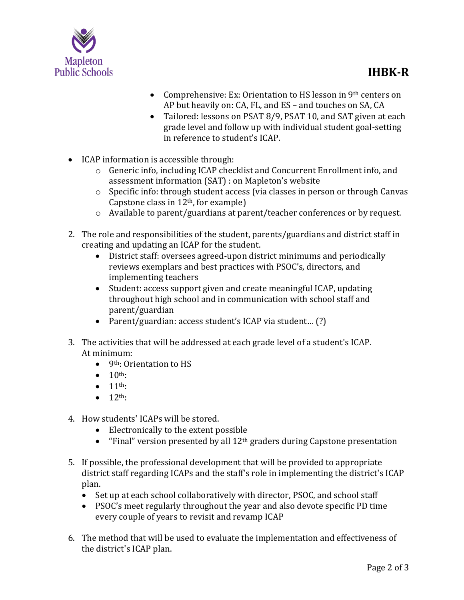

- Comprehensive: Ex: Orientation to HS lesson in 9<sup>th</sup> centers on AP but heavily on: CA, FL, and ES – and touches on SA, CA
- Tailored: lessons on PSAT 8/9, PSAT 10, and SAT given at each grade level and follow up with individual student goal-setting in reference to student's ICAP.
- ICAP information is accessible through:
	- o Generic info, including ICAP checklist and Concurrent Enrollment info, and assessment information (SAT) : on Mapleton's website
	- o Specific info: through student access (via classes in person or through Canvas Capstone class in 12th, for example)
	- o Available to parent/guardians at parent/teacher conferences or by request.
- 2. The role and responsibilities of the student, parents/guardians and district staff in creating and updating an ICAP for the student.
	- District staff: oversees agreed-upon district minimums and periodically reviews exemplars and best practices with PSOC's, directors, and implementing teachers
	- Student: access support given and create meaningful ICAP, updating throughout high school and in communication with school staff and parent/guardian
	- Parent/guardian: access student's ICAP via student… (?)
- 3. The activities that will be addressed at each grade level of a student's ICAP. At minimum:
	- 9<sup>th</sup>: Orientation to HS
	- $\bullet$  10<sup>th</sup>:
	- $\bullet$  11<sup>th</sup>:
	- $\bullet$  12<sup>th</sup>:
- 4. How students' ICAPs will be stored.
	- Electronically to the extent possible
	- "Final" version presented by all 12<sup>th</sup> graders during Capstone presentation
- 5. If possible, the professional development that will be provided to appropriate district staff regarding ICAPs and the staff's role in implementing the district's ICAP plan.
	- Set up at each school collaboratively with director, PSOC, and school staff
	- PSOC's meet regularly throughout the year and also devote specific PD time every couple of years to revisit and revamp ICAP
- 6. The method that will be used to evaluate the implementation and effectiveness of the district's ICAP plan.